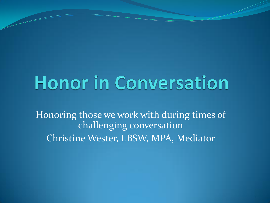# **Honor in Conversation**

Honoring those we work with during times of challenging conversation Christine Wester, LBSW, MPA, Mediator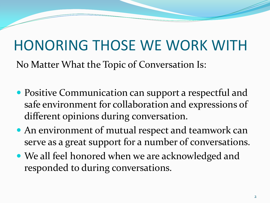## HONORING THOSE WE WORK WITH

No Matter What the Topic of Conversation Is:

- Positive Communication can support a respectful and safe environment for collaboration and expressions of different opinions during conversation.
- An environment of mutual respect and teamwork can serve as a great support for a number of conversations.
- We all feel honored when we are acknowledged and responded to during conversations.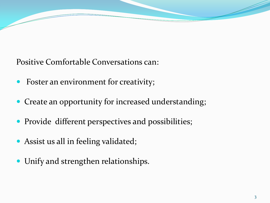Positive Comfortable Conversations can:

- Foster an environment for creativity;
- Create an opportunity for increased understanding;
- Provide different perspectives and possibilities;
- Assist us all in feeling validated;
- Unify and strengthen relationships.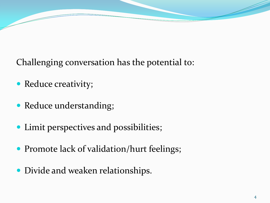Challenging conversation has the potential to:

- Reduce creativity;
- Reduce understanding;
- Limit perspectives and possibilities;
- Promote lack of validation/hurt feelings;
- Divide and weaken relationships.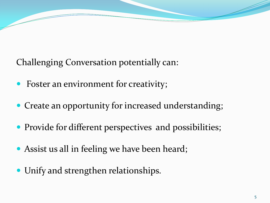Challenging Conversation potentially can:

- Foster an environment for creativity;
- Create an opportunity for increased understanding;
- Provide for different perspectives and possibilities;
- Assist us all in feeling we have been heard;
- Unify and strengthen relationships.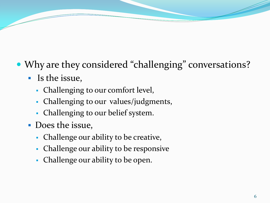- Why are they considered "challenging" conversations?
	- **Is the issue,** 
		- Challenging to our comfort level,
		- **Challenging to our values/judgments,**
		- Challenging to our belief system.
	- **Does the issue,** 
		- **Challenge our ability to be creative,**
		- **Challenge our ability to be responsive**
		- Challenge our ability to be open.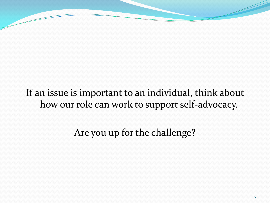If an issue is important to an individual, think about how our role can work to support self-advocacy.

Are you up for the challenge?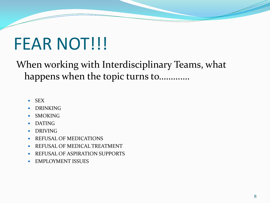# FEAR NOT!!!

When working with Interdisciplinary Teams, what happens when the topic turns to………….

- SEX
- DRINKING
- SMOKING
- DATING
- DRIVING
- REFUSAL OF MEDICATIONS
- **REFUSAL OF MEDICAL TREATMENT**
- REFUSAL OF ASPIRATION SUPPORTS
- EMPLOYMENT ISSUES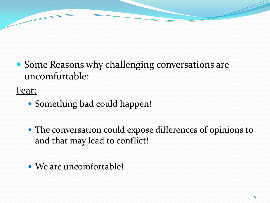• Some Reasons why challenging conversations are uncomfortable:

Fear:

- Something bad could happen!
- The conversation could expose differences of opinions to and that may lead to conflict!
- We are uncomfortable!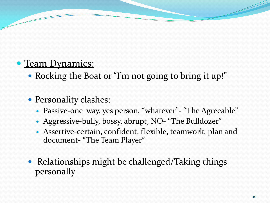### • Team Dynamics:

• Rocking the Boat or "I'm not going to bring it up!"

### • Personality clashes:

- Passive-one way, yes person, "whatever"- "The Agreeable"
- Aggressive-bully, bossy, abrupt, NO- "The Bulldozer"
- Assertive-certain, confident, flexible, teamwork, plan and document- "The Team Player"
- Relationships might be challenged/Taking things personally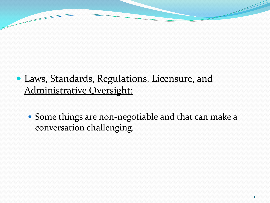- Laws, Standards, Regulations, Licensure, and Administrative Oversight:
	- Some things are non-negotiable and that can make a conversation challenging.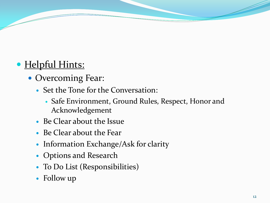### • Helpful Hints:

- Overcoming Fear:
	- Set the Tone for the Conversation:
		- Safe Environment, Ground Rules, Respect, Honor and Acknowledgement
	- Be Clear about the Issue
	- Be Clear about the Fear
	- Information Exchange/Ask for clarity
	- Options and Research
	- To Do List (Responsibilities)
	- Follow up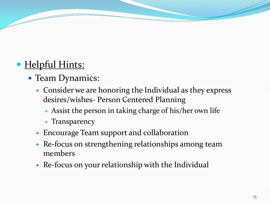### • Helpful Hints:

- Team Dynamics:
	- Consider we are honoring the Individual as they express desires/wishes- Person Centered Planning
		- Assist the person in taking charge of his/her own life
		- Transparency
	- Encourage Team support and collaboration
	- Re-focus on strengthening relationships among team members
	- Re-focus on your relationship with the Individual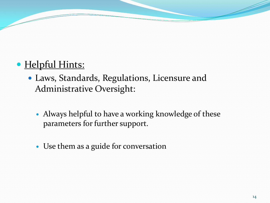### · Helpful Hints:

- Laws, Standards, Regulations, Licensure and Administrative Oversight:
	- Always helpful to have a working knowledge of these parameters for further support.
	- Use them as a guide for conversation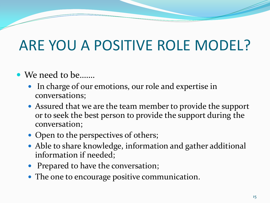## ARE YOU A POSITIVE ROLE MODEL?

#### We need to be…….

- In charge of our emotions, our role and expertise in conversations;
- Assured that we are the team member to provide the support or to seek the best person to provide the support during the conversation;
- Open to the perspectives of others;
- Able to share knowledge, information and gather additional information if needed;
- Prepared to have the conversation;
- The one to encourage positive communication.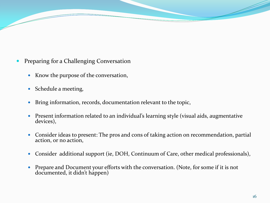- **Preparing for a Challenging Conversation** 
	- Know the purpose of the conversation,
	- Schedule a meeting,
	- Bring information, records, documentation relevant to the topic,
	- Present information related to an individual's learning style (visual aids, augmentative devices),
	- Consider ideas to present: The pros and cons of taking action on recommendation, partial action, or no action,
	- Consider additional support (ie, DOH, Continuum of Care, other medical professionals),
	- Prepare and Document your efforts with the conversation. (Note, for some if it is not documented, it didn't happen)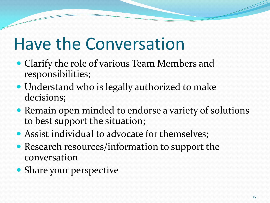# Have the Conversation

- Clarify the role of various Team Members and responsibilities;
- Understand who is legally authorized to make decisions;
- Remain open minded to endorse a variety of solutions to best support the situation;
- Assist individual to advocate for themselves;
- Research resources/information to support the conversation
- Share your perspective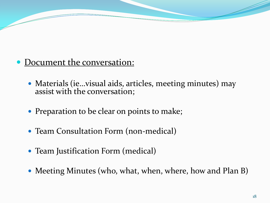#### • Document the conversation:

- Materials (ie…visual aids, articles, meeting minutes) may assist with the conversation;
- Preparation to be clear on points to make;
- Team Consultation Form (non-medical)
- Team Justification Form (medical)
- Meeting Minutes (who, what, when, where, how and Plan B)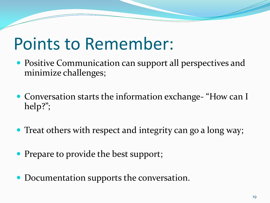# Points to Remember:

- Positive Communication can support all perspectives and minimize challenges;
- Conversation starts the information exchange- "How can I help?";
- Treat others with respect and integrity can go a long way;
- Prepare to provide the best support;
- Documentation supports the conversation.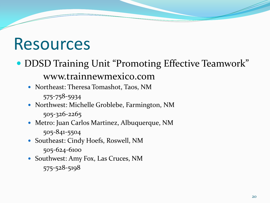## Resources

- DDSD Training Unit "Promoting Effective Teamwork" www.trainnewmexic0.com
	- Northeast: Theresa Tomashot, Taos, NM 575-758-5934
	- Northwest: Michelle Groblebe, Farmington, NM 505-326-2265
	- Metro: Juan Carlos Martinez, Albuquerque, NM 505-841-5504
	- Southeast: Cindy Hoefs, Roswell, NM 505-624-6100
	- Southwest: Amy Fox, Las Cruces, NM 575-528-5198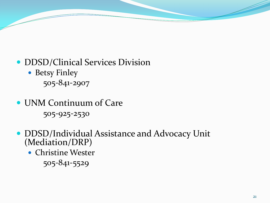- DDSD/Clinical Services Division
	- Betsy Finley 505-841-2907
- UNM Continuum of Care 505-925-2530
- DDSD/Individual Assistance and Advocacy Unit (Mediation/DRP)
	- Christine Wester 505-841-5529